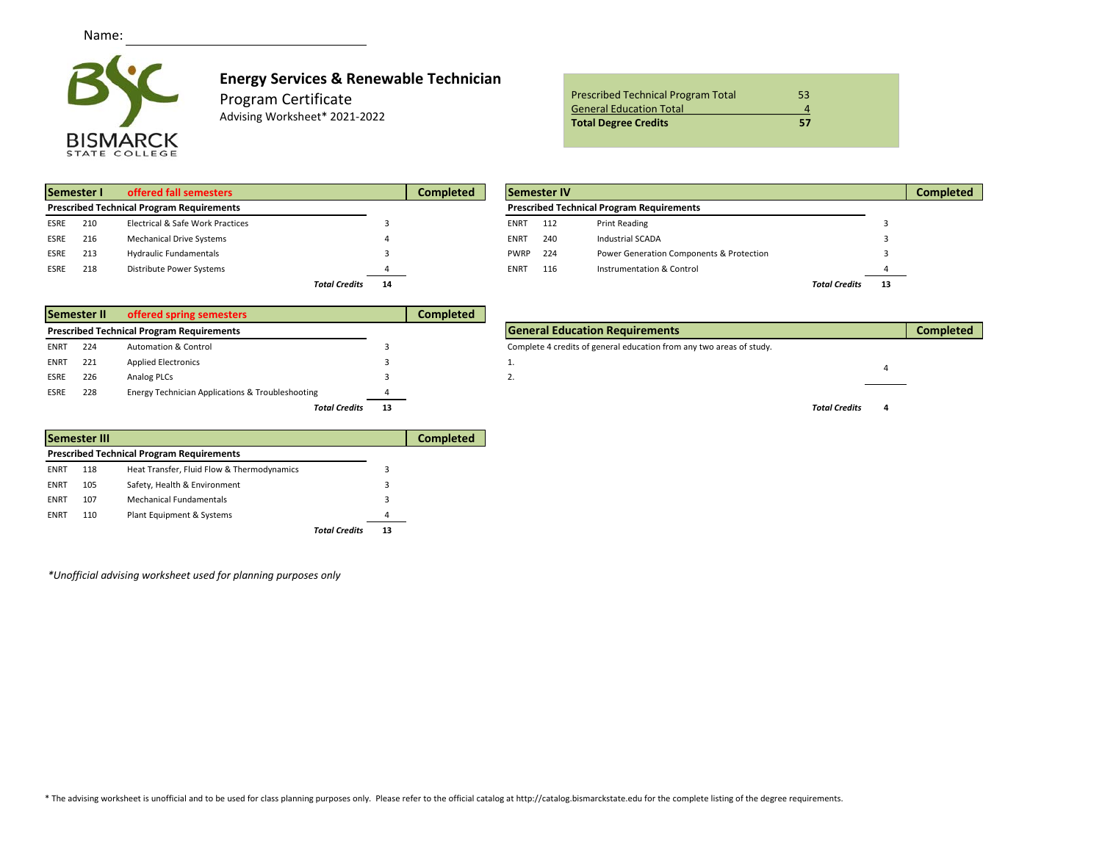

## **Energy Services & Renewable Technician**

Program Certificate

Advising Worksheet\* 2021-2022

| <b>General Education Total</b><br><b>Total Degree Credits</b><br>57 | <b>Prescribed Technical Program Total</b><br>53 |  |
|---------------------------------------------------------------------|-------------------------------------------------|--|
|                                                                     |                                                 |  |
|                                                                     |                                                 |  |

|                                                  | Semester I | offered fall semesters           |                      |    | <b>Completed</b> | Semester IV |  |     |                                                  |                      |     |
|--------------------------------------------------|------------|----------------------------------|----------------------|----|------------------|-------------|--|-----|--------------------------------------------------|----------------------|-----|
| <b>Prescribed Technical Program Requirements</b> |            |                                  |                      |    |                  |             |  |     | <b>Prescribed Technical Program Requirements</b> |                      |     |
| <b>ESRE</b>                                      | 210        | Electrical & Safe Work Practices |                      |    |                  | <b>ENRT</b> |  | 112 | Print Reading                                    |                      |     |
| <b>ESRE</b>                                      | 216        | <b>Mechanical Drive Systems</b>  |                      |    |                  | <b>ENRT</b> |  | 240 | Industrial SCADA                                 |                      |     |
| <b>ESRE</b>                                      | 213        | <b>Hydraulic Fundamentals</b>    |                      |    |                  | <b>PWRP</b> |  | 224 | Power Generation Components & Protection         |                      |     |
| <b>ESRE</b>                                      | 218        | Distribute Power Systems         |                      |    |                  | <b>ENRT</b> |  | 116 | Instrumentation & Control                        |                      |     |
|                                                  |            |                                  | <b>Total Credits</b> | 14 |                  |             |  |     |                                                  | <b>Total Credits</b> | -13 |

|      | Semester I | offered fall semesters                           |    | <b>Completed</b> |                 | Semester IV |                                                  |                      |    | <b>Completed</b> |
|------|------------|--------------------------------------------------|----|------------------|-----------------|-------------|--------------------------------------------------|----------------------|----|------------------|
|      |            | <b>Prescribed Technical Program Requirements</b> |    |                  |                 |             | <b>Prescribed Technical Program Requirements</b> |                      |    |                  |
| ESRE | 210        | Electrical & Safe Work Practices                 |    |                  | <b>ENRT</b>     | 112         | Print Reading                                    |                      |    |                  |
| ESRE | 216        | <b>Mechanical Drive Systems</b>                  |    |                  | <b>ENRT</b>     | 240         | <b>Industrial SCADA</b>                          |                      |    |                  |
| ESRE | 213        | <b>Hydraulic Fundamentals</b>                    |    |                  | <b>PWRP</b> 224 |             | Power Generation Components & Protection         |                      |    |                  |
| ESRE | 218        | Distribute Power Systems                         |    |                  | <b>ENRT</b>     | 116         | Instrumentation & Control                        |                      |    |                  |
|      |            | <b>Total Credits</b>                             | 14 |                  |                 |             |                                                  | <b>Total Credits</b> | 13 |                  |

|             | Semester II | offered spring semesters                         |    | <b>Completed</b> |                                                                      |
|-------------|-------------|--------------------------------------------------|----|------------------|----------------------------------------------------------------------|
|             |             | <b>Prescribed Technical Program Requirements</b> |    |                  | <b>General Education Requirements</b>                                |
| <b>ENRT</b> | 224         | <b>Automation &amp; Control</b>                  |    |                  | Complete 4 credits of general education from any two areas of study. |
| <b>ENRT</b> | 221         | <b>Applied Electronics</b>                       |    |                  |                                                                      |
| <b>ESRE</b> | 226         | Analog PLCs                                      |    |                  | z.                                                                   |
| ESRE        | 228         | Energy Technician Applications & Troubleshooting |    |                  |                                                                      |
|             |             | <b>Total Credits</b>                             | 13 |                  |                                                                      |
|             |             |                                                  |    |                  |                                                                      |

|             | Semester III |                                                  |                      |    |  |  |  |  |  |
|-------------|--------------|--------------------------------------------------|----------------------|----|--|--|--|--|--|
|             |              | <b>Prescribed Technical Program Requirements</b> |                      |    |  |  |  |  |  |
| <b>ENRT</b> | 118          | Heat Transfer, Fluid Flow & Thermodynamics       |                      | 3  |  |  |  |  |  |
| ENRT        | 105          | Safety, Health & Environment                     |                      | 3  |  |  |  |  |  |
| ENRT        | 107          | Mechanical Fundamentals                          |                      | 3  |  |  |  |  |  |
| ENRT        | 110          | Plant Equipment & Systems                        |                      | 4  |  |  |  |  |  |
|             |              |                                                  | <b>Total Credits</b> | 13 |  |  |  |  |  |

*\*Unofficial advising worksheet used for planning purposes only*

|             | JUNUJU II | <b>Pricide Spring Seniesters</b>                 |    | <b>COMPIGNO</b> |                                                                      |                      |                  |
|-------------|-----------|--------------------------------------------------|----|-----------------|----------------------------------------------------------------------|----------------------|------------------|
|             |           | <b>Prescribed Technical Program Requirements</b> |    |                 | <b>General Education Requirements</b>                                |                      | <b>Completed</b> |
| ENRT        | 224       | <b>Automation &amp; Control</b>                  |    |                 | Complete 4 credits of general education from any two areas of study. |                      |                  |
| <b>ENRT</b> | 221       | <b>Applied Electronics</b>                       |    |                 |                                                                      |                      |                  |
| ESRE        | 226       | Analog PLCs                                      |    |                 |                                                                      |                      |                  |
| ESRE        | 228       | Energy Technician Applications & Troubleshooting |    |                 |                                                                      |                      |                  |
|             |           | <b>Total Credits</b>                             | 13 |                 |                                                                      | <b>Total Credits</b> |                  |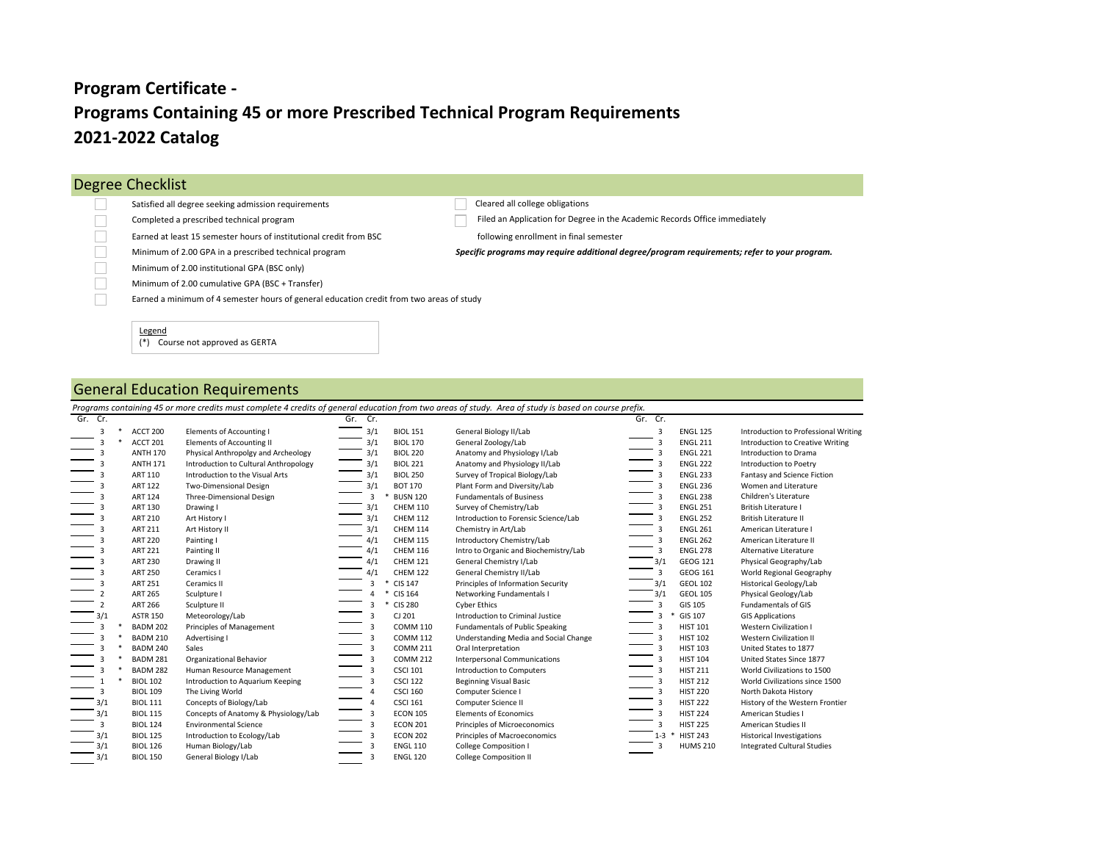## **Programs Containing 45 or more Prescribed Technical Program Requirements 2021-2022 Catalog Program Certificate -**

| Degree Checklist                                                                         |                                                                                              |
|------------------------------------------------------------------------------------------|----------------------------------------------------------------------------------------------|
| Satisfied all degree seeking admission requirements                                      | Cleared all college obligations                                                              |
| Completed a prescribed technical program                                                 | Filed an Application for Degree in the Academic Records Office immediately                   |
| Earned at least 15 semester hours of institutional credit from BSC                       | following enrollment in final semester                                                       |
| Minimum of 2.00 GPA in a prescribed technical program                                    | Specific programs may require additional degree/program requirements; refer to your program. |
| Minimum of 2.00 institutional GPA (BSC only)                                             |                                                                                              |
| Minimum of 2.00 cumulative GPA (BSC + Transfer)                                          |                                                                                              |
| Earned a minimum of 4 semester hours of general education credit from two areas of study |                                                                                              |
|                                                                                          |                                                                                              |
| Legend<br>Course not approved as GERTA                                                   |                                                                                              |

## General Education Requirements

|         |                 |                                       |                         |                 | Programs containing 45 or more credits must complete 4 credits of general education from two areas of study. Area of study is based on course prefix. |                |                 |                                      |
|---------|-----------------|---------------------------------------|-------------------------|-----------------|-------------------------------------------------------------------------------------------------------------------------------------------------------|----------------|-----------------|--------------------------------------|
| Gr. Cr. |                 |                                       | Cr.<br>Gr.              |                 |                                                                                                                                                       | Gr. Cr.        |                 |                                      |
| 3       | ACCT 200        | Elements of Accounting I              | 3/1                     | <b>BIOL 151</b> | General Biology II/Lab                                                                                                                                | 3              | <b>ENGL 125</b> | Introduction to Professional Writing |
| 3       | ACCT 201        | Elements of Accounting II             | 3/1                     | <b>BIOL 170</b> | General Zoology/Lab                                                                                                                                   | 3              | <b>ENGL 211</b> | Introduction to Creative Writing     |
| 3       | <b>ANTH 170</b> | Physical Anthropolgy and Archeology   | 3/1                     | <b>BIOL 220</b> | Anatomy and Physiology I/Lab                                                                                                                          |                | <b>ENGL 221</b> | Introduction to Drama                |
| 3       | <b>ANTH 171</b> | Introduction to Cultural Anthropology | 3/1                     | <b>BIOL 221</b> | Anatomy and Physiology II/Lab                                                                                                                         | $\overline{3}$ | <b>ENGL 222</b> | Introduction to Poetry               |
| 3       | ART 110         | Introduction to the Visual Arts       | 3/1                     | <b>BIOL 250</b> | Survey of Tropical Biology/Lab                                                                                                                        | 3              | <b>ENGL 233</b> | Fantasy and Science Fiction          |
| 3       | <b>ART 122</b>  | Two-Dimensional Design                | 3/1                     | <b>BOT 170</b>  | Plant Form and Diversity/Lab                                                                                                                          | $\overline{3}$ | <b>ENGL 236</b> | Women and Literature                 |
| 3       | <b>ART 124</b>  | Three-Dimensional Design              | 3                       | <b>BUSN 120</b> | <b>Fundamentals of Business</b>                                                                                                                       |                | <b>ENGL 238</b> | Children's Literature                |
| 3       | ART 130         | Drawing I                             | 3/1                     | <b>CHEM 110</b> | Survey of Chemistry/Lab                                                                                                                               | $\overline{3}$ | <b>ENGL 251</b> | <b>British Literature I</b>          |
| 3       | <b>ART 210</b>  | Art History I                         | 3/1                     | <b>CHEM 112</b> | Introduction to Forensic Science/Lab                                                                                                                  | 3              | <b>ENGL 252</b> | <b>British Literature II</b>         |
| 3       | ART 211         | Art History II                        | 3/1                     | <b>CHEM 114</b> | Chemistry in Art/Lab                                                                                                                                  | $\overline{3}$ | <b>ENGL 261</b> | American Literature I                |
| 3       | <b>ART 220</b>  | Painting I                            | 4/1                     | <b>CHEM 115</b> | Introductory Chemistry/Lab                                                                                                                            | 3              | <b>ENGL 262</b> | American Literature II               |
| 3       | <b>ART 221</b>  | Painting II                           | 4/1                     | <b>CHEM 116</b> | Intro to Organic and Biochemistry/Lab                                                                                                                 | 3              | <b>ENGL 278</b> | Alternative Literature               |
| 3       | <b>ART 230</b>  | Drawing II                            | 4/1                     | <b>CHEM 121</b> | General Chemistry I/Lab                                                                                                                               | 3/1            | GEOG 121        | Physical Geography/Lab               |
| 3       | <b>ART 250</b>  | Ceramics I                            | 4/1                     | <b>CHEM 122</b> | General Chemistry II/Lab                                                                                                                              | 3              | GEOG 161        | World Regional Geography             |
| 3       | <b>ART 251</b>  | Ceramics II                           | 3                       | CIS 147         | Principles of Information Security                                                                                                                    | 3/1            | <b>GEOL 102</b> | <b>Historical Geology/Lab</b>        |
|         | <b>ART 265</b>  | Sculpture I                           |                         | CIS 164         | Networking Fundamentals I                                                                                                                             | 3/1            | <b>GEOL 105</b> | Physical Geology/Lab                 |
|         | <b>ART 266</b>  | Sculpture II                          | 3                       | <b>CIS 280</b>  | <b>Cyber Ethics</b>                                                                                                                                   | 3              | GIS 105         | Fundamentals of GIS                  |
|         | <b>ASTR 150</b> | Meteorology/Lab                       | 3                       | CJ 201          | Introduction to Criminal Justice                                                                                                                      |                | GIS 107         | <b>GIS Applications</b>              |
|         | <b>BADM 202</b> | Principles of Management              | 3                       | <b>COMM 110</b> | <b>Fundamentals of Public Speaking</b>                                                                                                                | $\overline{3}$ | <b>HIST 101</b> | Western Civilization I               |
| 3       | <b>BADM 210</b> | Advertising I                         | 3                       | <b>COMM 112</b> | Understanding Media and Social Change                                                                                                                 | 3              | <b>HIST 102</b> | Western Civilization II              |
| ٦       | <b>BADM 240</b> | Sales                                 | 3                       | <b>COMM 211</b> | Oral Interpretation                                                                                                                                   | 3              | <b>HIST 103</b> | United States to 1877                |
|         | <b>BADM 281</b> | <b>Organizational Behavior</b>        | 3                       | <b>COMM 212</b> | <b>Interpersonal Communications</b>                                                                                                                   | $\overline{3}$ | <b>HIST 104</b> | United States Since 1877             |
|         | <b>BADM 282</b> | Human Resource Management             | 3                       | <b>CSCI 101</b> | <b>Introduction to Computers</b>                                                                                                                      | 3              | <b>HIST 211</b> | World Civilizations to 1500          |
|         | <b>BIOL 102</b> | Introduction to Aquarium Keeping      | 3                       | <b>CSCI 122</b> | <b>Beginning Visual Basic</b>                                                                                                                         | $\overline{3}$ | <b>HIST 212</b> | World Civilizations since 1500       |
| 3       | <b>BIOL 109</b> | The Living World                      | 4                       | <b>CSCI 160</b> | Computer Science I                                                                                                                                    | 3              | <b>HIST 220</b> | North Dakota History                 |
| 3/1     | <b>BIOL 111</b> | Concepts of Biology/Lab               | 4                       | <b>CSCI 161</b> | Computer Science II                                                                                                                                   |                | <b>HIST 222</b> | History of the Western Frontier      |
| 3/1     | <b>BIOL 115</b> | Concepts of Anatomy & Physiology/Lab  | $\overline{3}$          | <b>ECON 105</b> | <b>Elements of Economics</b>                                                                                                                          | 3              | <b>HIST 224</b> | American Studies I                   |
| 3       | <b>BIOL 124</b> | <b>Environmental Science</b>          | $\overline{\mathbf{3}}$ | <b>ECON 201</b> | Principles of Microeconomics                                                                                                                          | 3              | <b>HIST 225</b> | American Studies II                  |
| 3/1     | <b>BIOL 125</b> | Introduction to Ecology/Lab           | $\overline{3}$          | <b>ECON 202</b> | Principles of Macroeconomics                                                                                                                          | $1 - 3$        | <b>HIST 243</b> | <b>Historical Investigations</b>     |
| 3/1     | <b>BIOL 126</b> | Human Biology/Lab                     | 3                       | <b>ENGL 110</b> | <b>College Composition I</b>                                                                                                                          |                | <b>HUMS 210</b> | <b>Integrated Cultural Studies</b>   |
| 3/1     | <b>BIOL 150</b> | General Biology I/Lab                 | 3                       | <b>ENGL 120</b> | <b>College Composition II</b>                                                                                                                         |                |                 |                                      |